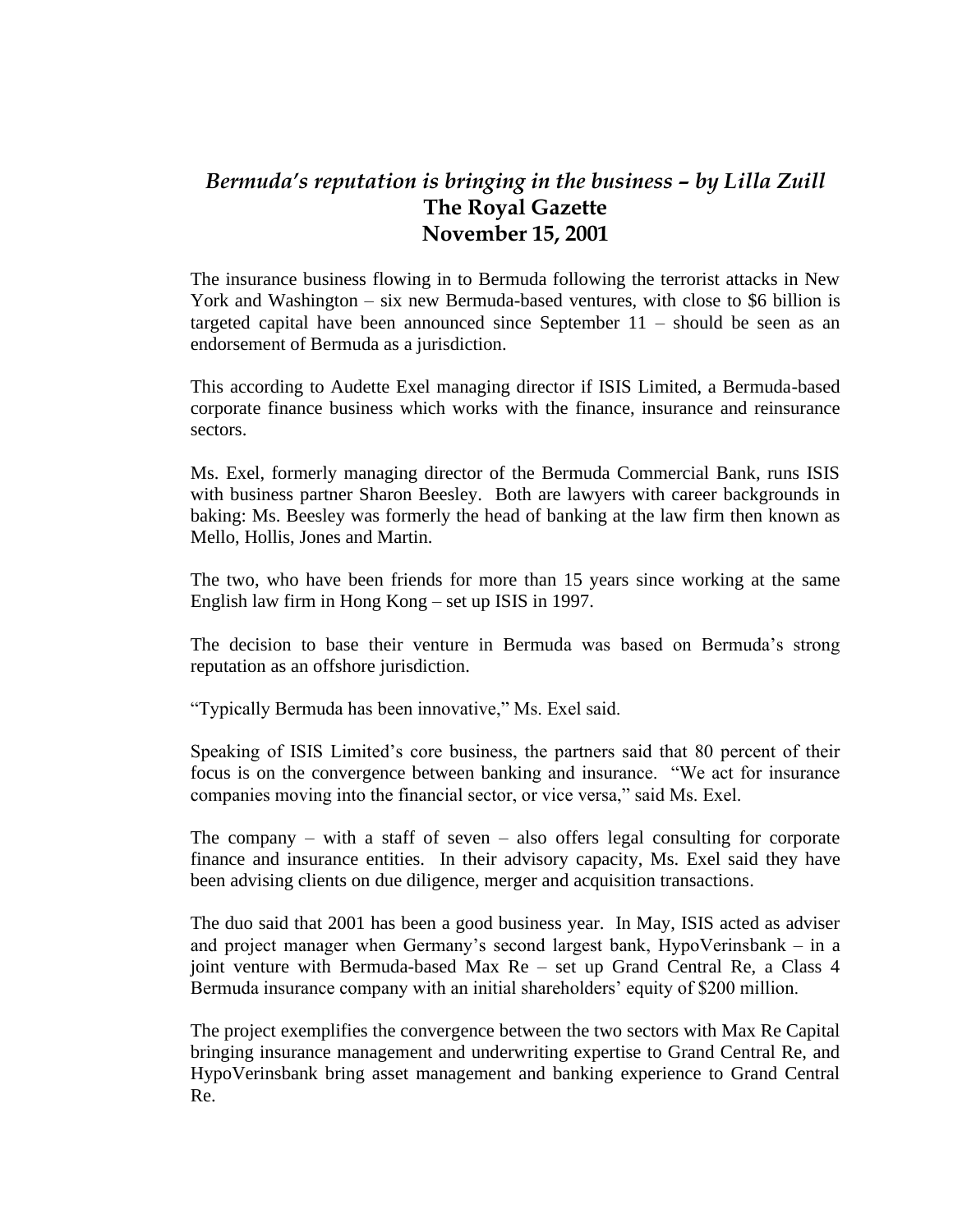## *Bermuda's reputation is bringing in the business – by Lilla Zuill* **The Royal Gazette November 15, 2001**

The insurance business flowing in to Bermuda following the terrorist attacks in New York and Washington – six new Bermuda-based ventures, with close to \$6 billion is targeted capital have been announced since September 11 – should be seen as an endorsement of Bermuda as a jurisdiction.

This according to Audette Exel managing director if ISIS Limited, a Bermuda-based corporate finance business which works with the finance, insurance and reinsurance sectors.

Ms. Exel, formerly managing director of the Bermuda Commercial Bank, runs ISIS with business partner Sharon Beesley. Both are lawyers with career backgrounds in baking: Ms. Beesley was formerly the head of banking at the law firm then known as Mello, Hollis, Jones and Martin.

The two, who have been friends for more than 15 years since working at the same English law firm in Hong Kong – set up ISIS in 1997.

The decision to base their venture in Bermuda was based on Bermuda's strong reputation as an offshore jurisdiction.

"Typically Bermuda has been innovative," Ms. Exel said.

Speaking of ISIS Limited's core business, the partners said that 80 percent of their focus is on the convergence between banking and insurance. "We act for insurance companies moving into the financial sector, or vice versa," said Ms. Exel.

The company – with a staff of seven – also offers legal consulting for corporate finance and insurance entities. In their advisory capacity, Ms. Exel said they have been advising clients on due diligence, merger and acquisition transactions.

The duo said that 2001 has been a good business year. In May, ISIS acted as adviser and project manager when Germany's second largest bank, HypoVerinsbank – in a joint venture with Bermuda-based Max Re – set up Grand Central Re, a Class 4 Bermuda insurance company with an initial shareholders' equity of \$200 million.

The project exemplifies the convergence between the two sectors with Max Re Capital bringing insurance management and underwriting expertise to Grand Central Re, and HypoVerinsbank bring asset management and banking experience to Grand Central Re.